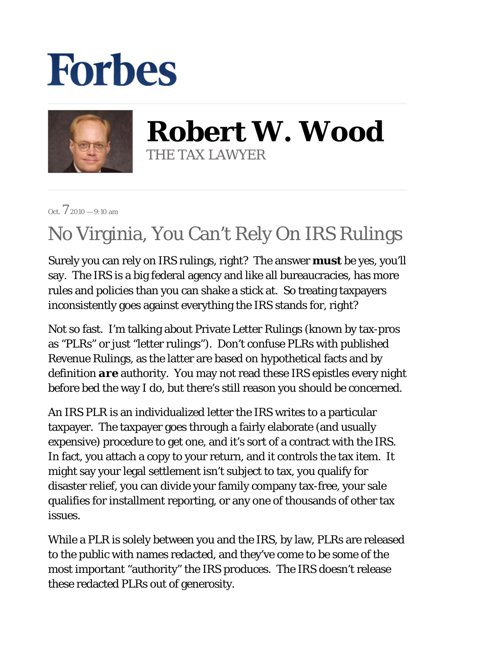## **Forbes**



**Robert W. Wood** THE TAX LAWYER

Oct.  $7_{2010}$  = 9:10 am

## No Virginia, You Can't Rely On IRS Rulings

Surely you can rely on IRS rulings, right? The answer *must* be yes, you'll say. The IRS is a big federal agency and like all bureaucracies, has more rules and policies than you can shake a stick at. So treating taxpayers inconsistently goes against everything the IRS stands for, right?

Not so fast. I'm talking about Private Letter Rulings (known by tax-pros as "PLRs" or just "letter rulings"). Don't confuse PLRs with published Revenue Rulings, as the latter are based on hypothetical facts and by definition *are* authority. You may not read these IRS epistles every night before bed the way I do, but there's still reason you should be concerned.

An IRS PLR is an individualized letter the IRS writes to a particular taxpayer. The taxpayer goes through a fairly elaborate (and usually expensive) procedure to get one, and it's sort of a contract with the IRS. In fact, you attach a copy to your return, and it controls the tax item. It might say your legal settlement isn't subject to tax, you qualify for disaster relief, you can divide your family company tax-free, your sale qualifies for installment reporting, or any one of thousands of other tax issues.

While a PLR is solely between you and the IRS, by law, PLRs are released to the public with names redacted, and they've come to be some of the most important "authority" the IRS produces. The IRS doesn't release these redacted PLRs out of generosity.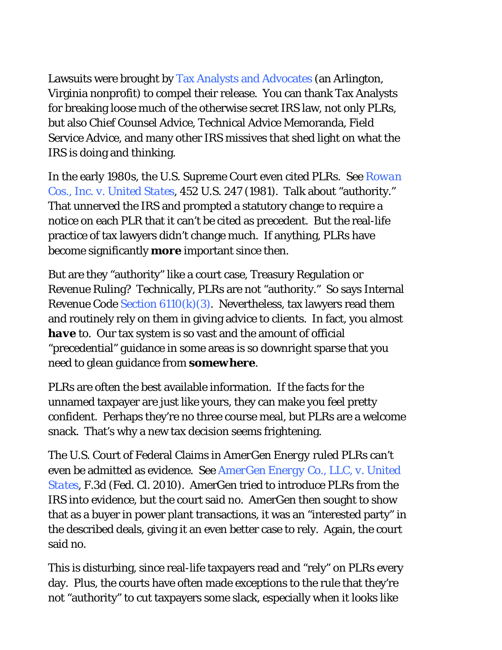Lawsuits were brought by Tax Analysts and Advocates (an Arlington, Virginia nonprofit) to compel their release. You can thank Tax Analysts for breaking loose much of the otherwise secret IRS law, not only PLRs, but also Chief Counsel Advice, Technical Advice Memoranda, Field Service Advice, and many other IRS missives that shed light on what the IRS is doing and thinking.

In the early 1980s, the U.S. Supreme Court even cited PLRs. See *Rowan Cos., Inc. v. United States*, 452 U.S. 247 (1981). Talk about "authority." That unnerved the IRS and prompted a statutory change to require a notice on each PLR that it can't be cited as precedent. But the real-life practice of tax lawyers didn't change much. If anything, PLRs have become significantly *more* important since then.

But are they "authority" like a court case, Treasury Regulation or Revenue Ruling? Technically, PLRs are not "authority." So says Internal Revenue Code Section  $6110(k)(3)$ . Nevertheless, tax lawyers read them and routinely rely on them in giving advice to clients. In fact, you almost *have* to. Our tax system is so vast and the amount of official "precedential" guidance in some areas is so downright sparse that you need to glean guidance from *somewhere*.

PLRs are often the best available information. If the facts for the unnamed taxpayer are just like yours, they can make you feel pretty confident. Perhaps they're no three course meal, but PLRs are a welcome snack. That's why a new tax decision seems frightening.

The U.S. Court of Federal Claims in *AmerGen Energy* ruled PLRs can't even be admitted as evidence. See *AmerGen Energy Co., LLC, v. United States,* F.3d (Fed. Cl. 2010). AmerGen tried to introduce PLRs from the IRS into evidence, but the court said no. AmerGen then sought to show that as a buyer in power plant transactions, it was an "interested party" in the described deals, giving it an even better case to rely. Again, the court said no.

This is disturbing, since real-life taxpayers read and "rely" on PLRs every day. Plus, the courts have often made exceptions to the rule that they're not "authority" to cut taxpayers some slack, especially when it looks like